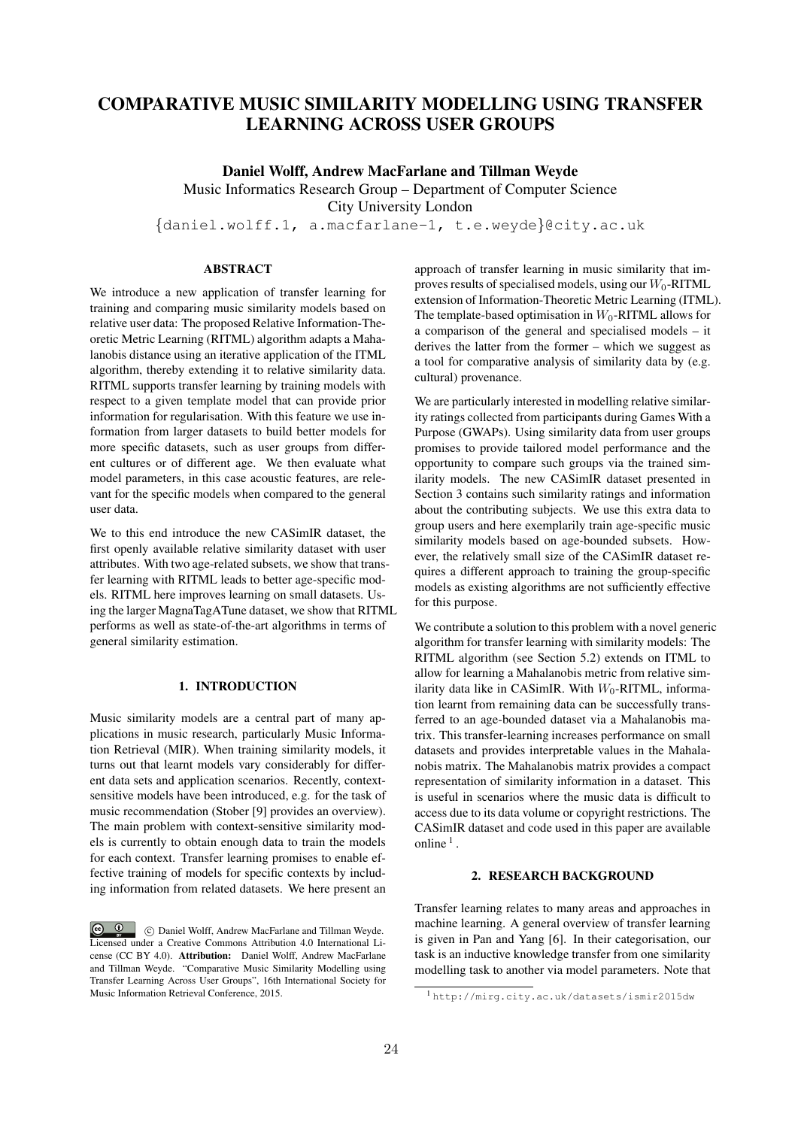# COMPARATIVE MUSIC SIMILARITY MODELLING USING TRANSFER LEARNING ACROSS USER GROUPS

Daniel Wolff, Andrew MacFarlane and Tillman Weyde

Music Informatics Research Group – Department of Computer Science

City University London

*{*daniel.wolff.1, a.macfarlane-1, t.e.weyde*}*@city.ac.uk

# ABSTRACT

We introduce a new application of transfer learning for training and comparing music similarity models based on relative user data: The proposed Relative Information-Theoretic Metric Learning (RITML) algorithm adapts a Mahalanobis distance using an iterative application of the ITML algorithm, thereby extending it to relative similarity data. RITML supports transfer learning by training models with respect to a given template model that can provide prior information for regularisation. With this feature we use information from larger datasets to build better models for more specific datasets, such as user groups from different cultures or of different age. We then evaluate what model parameters, in this case acoustic features, are relevant for the specific models when compared to the general user data.

We to this end introduce the new CASimIR dataset, the first openly available relative similarity dataset with user attributes. With two age-related subsets, we show that transfer learning with RITML leads to better age-specific models. RITML here improves learning on small datasets. Using the larger MagnaTagATune dataset, we show that RITML performs as well as state-of-the-art algorithms in terms of general similarity estimation.

# 1. INTRODUCTION

Music similarity models are a central part of many applications in music research, particularly Music Information Retrieval (MIR). When training similarity models, it turns out that learnt models vary considerably for different data sets and application scenarios. Recently, contextsensitive models have been introduced, e.g. for the task of music recommendation (Stober [9] provides an overview). The main problem with context-sensitive similarity models is currently to obtain enough data to train the models for each context. Transfer learning promises to enable effective training of models for specific contexts by including information from related datasets. We here present an approach of transfer learning in music similarity that improves results of specialised models, using our *W*<sub>0</sub>-RITML extension of Information-Theoretic Metric Learning (ITML). The template-based optimisation in  $W_0$ -RITML allows for a comparison of the general and specialised models – it derives the latter from the former – which we suggest as a tool for comparative analysis of similarity data by (e.g. cultural) provenance.

We are particularly interested in modelling relative similarity ratings collected from participants during Games With a Purpose (GWAPs). Using similarity data from user groups promises to provide tailored model performance and the opportunity to compare such groups via the trained similarity models. The new CASimIR dataset presented in Section 3 contains such similarity ratings and information about the contributing subjects. We use this extra data to group users and here exemplarily train age-specific music similarity models based on age-bounded subsets. However, the relatively small size of the CASimIR dataset requires a different approach to training the group-specific models as existing algorithms are not sufficiently effective for this purpose.

We contribute a solution to this problem with a novel generic algorithm for transfer learning with similarity models: The RITML algorithm (see Section 5.2) extends on ITML to allow for learning a Mahalanobis metric from relative similarity data like in CASimIR. With *W*<sub>0</sub>-RITML, information learnt from remaining data can be successfully transferred to an age-bounded dataset via a Mahalanobis matrix. This transfer-learning increases performance on small datasets and provides interpretable values in the Mahalanobis matrix. The Mahalanobis matrix provides a compact representation of similarity information in a dataset. This is useful in scenarios where the music data is difficult to access due to its data volume or copyright restrictions. The CASimIR dataset and code used in this paper are available online  $<sup>1</sup>$ .</sup>

#### 2. RESEARCH BACKGROUND

Transfer learning relates to many areas and approaches in machine learning. A general overview of transfer learning is given in Pan and Yang [6]. In their categorisation, our task is an inductive knowledge transfer from one similarity modelling task to another via model parameters. Note that

 $\circ$   $\circ$ c Daniel Wolff, Andrew MacFarlane and Tillman Weyde. Licensed under a Creative Commons Attribution 4.0 International License (CC BY 4.0). Attribution: Daniel Wolff, Andrew MacFarlane and Tillman Weyde. "Comparative Music Similarity Modelling using Transfer Learning Across User Groups", 16th International Society for Music Information Retrieval Conference, 2015.

<sup>1</sup> http://mirg.city.ac.uk/datasets/ismir2015dw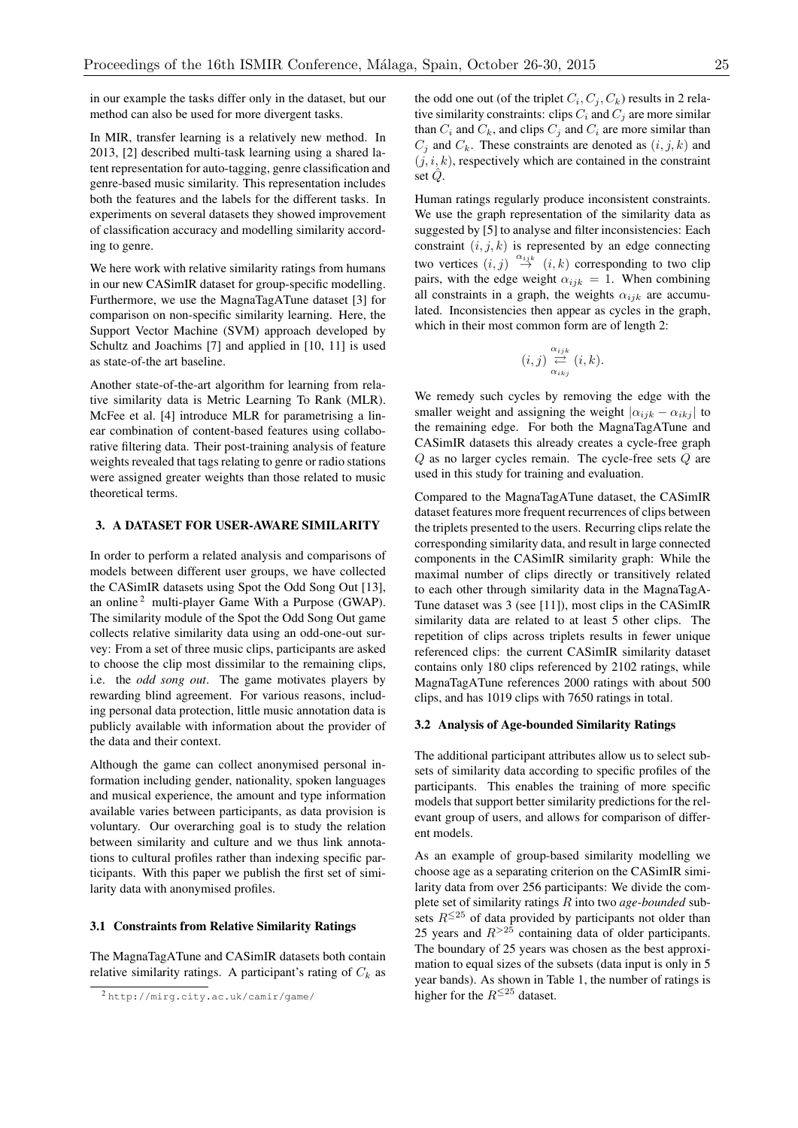in our example the tasks differ only in the dataset, but our method can also be used for more divergent tasks.

In MIR, transfer learning is a relatively new method. In 2013, [2] described multi-task learning using a shared latent representation for auto-tagging, genre classification and genre-based music similarity. This representation includes both the features and the labels for the different tasks. In experiments on several datasets they showed improvement of classification accuracy and modelling similarity according to genre.

We here work with relative similarity ratings from humans in our new CASimIR dataset for group-specific modelling. Furthermore, we use the MagnaTagATune dataset [3] for comparison on non-specific similarity learning. Here, the Support Vector Machine (SVM) approach developed by Schultz and Joachims [7] and applied in [10, 11] is used as state-of-the art baseline.

Another state-of-the-art algorithm for learning from relative similarity data is Metric Learning To Rank (MLR). McFee et al. [4] introduce MLR for parametrising a linear combination of content-based features using collaborative filtering data. Their post-training analysis of feature weights revealed that tags relating to genre or radio stations were assigned greater weights than those related to music theoretical terms.

# 3. A DATASET FOR USER-AWARE SIMILARITY

In order to perform a related analysis and comparisons of models between different user groups, we have collected the CASimIR datasets using Spot the Odd Song Out [13], an online<sup>2</sup> multi-player Game With a Purpose (GWAP). The similarity module of the Spot the Odd Song Out game collects relative similarity data using an odd-one-out survey: From a set of three music clips, participants are asked to choose the clip most dissimilar to the remaining clips, i.e. the *odd song out*. The game motivates players by rewarding blind agreement. For various reasons, including personal data protection, little music annotation data is publicly available with information about the provider of the data and their context.

Although the game can collect anonymised personal information including gender, nationality, spoken languages and musical experience, the amount and type information available varies between participants, as data provision is voluntary. Our overarching goal is to study the relation between similarity and culture and we thus link annotations to cultural profiles rather than indexing specific participants. With this paper we publish the first set of similarity data with anonymised profiles.

## 3.1 Constraints from Relative Similarity Ratings

The MagnaTagATune and CASimIR datasets both contain relative similarity ratings. A participant's rating of  $C_k$  as the odd one out (of the triplet  $C_i, C_j, C_k$ ) results in 2 relative similarity constraints: clips  $C_i$  and  $C_j$  are more similar than  $C_i$  and  $C_k$ , and clips  $C_j$  and  $C_i$  are more similar than  $C_i$  and  $C_k$ . These constraints are denoted as  $(i, j, k)$  and  $(j, i, k)$ , respectively which are contained in the constraint set *Q*ˆ.

Human ratings regularly produce inconsistent constraints. We use the graph representation of the similarity data as suggested by [5] to analyse and filter inconsistencies: Each constraint  $(i, j, k)$  is represented by an edge connecting two vertices  $(i, j) \stackrel{\alpha_{ijk}}{\rightarrow} (i, k)$  corresponding to two clip pairs, with the edge weight  $\alpha_{ijk} = 1$ . When combining all constraints in a graph, the weights  $\alpha_{ijk}$  are accumulated. Inconsistencies then appear as cycles in the graph, which in their most common form are of length 2:

$$
(i,j)\overset{\alpha_{ijk}}{\underset{\alpha_{ikj}}{\rightleftarrows}}(i,k).
$$

We remedy such cycles by removing the edge with the smaller weight and assigning the weight  $| \alpha_{ijk} - \alpha_{ikj} |$  to the remaining edge. For both the MagnaTagATune and CASimIR datasets this already creates a cycle-free graph *Q* as no larger cycles remain. The cycle-free sets *Q* are used in this study for training and evaluation.

Compared to the MagnaTagATune dataset, the CASimIR dataset features more frequent recurrences of clips between the triplets presented to the users. Recurring clips relate the corresponding similarity data, and result in large connected components in the CASimIR similarity graph: While the maximal number of clips directly or transitively related to each other through similarity data in the MagnaTagA-Tune dataset was 3 (see [11]), most clips in the CASimIR similarity data are related to at least 5 other clips. The repetition of clips across triplets results in fewer unique referenced clips: the current CASimIR similarity dataset contains only 180 clips referenced by 2102 ratings, while MagnaTagATune references 2000 ratings with about 500 clips, and has 1019 clips with 7650 ratings in total.

#### 3.2 Analysis of Age-bounded Similarity Ratings

The additional participant attributes allow us to select subsets of similarity data according to specific profiles of the participants. This enables the training of more specific models that support better similarity predictions for the relevant group of users, and allows for comparison of different models.

As an example of group-based similarity modelling we choose age as a separating criterion on the CASimIR similarity data from over 256 participants: We divide the complete set of similarity ratings *R* into two *age-bounded* subsets  $R^{\leq 25}$  of data provided by participants not older than 25 years and  $R^{>25}$  containing data of older participants. The boundary of 25 years was chosen as the best approximation to equal sizes of the subsets (data input is only in 5 year bands). As shown in Table 1, the number of ratings is higher for the  $R^{\leq 25}$  dataset.

<sup>2</sup> http://mirg.city.ac.uk/camir/game/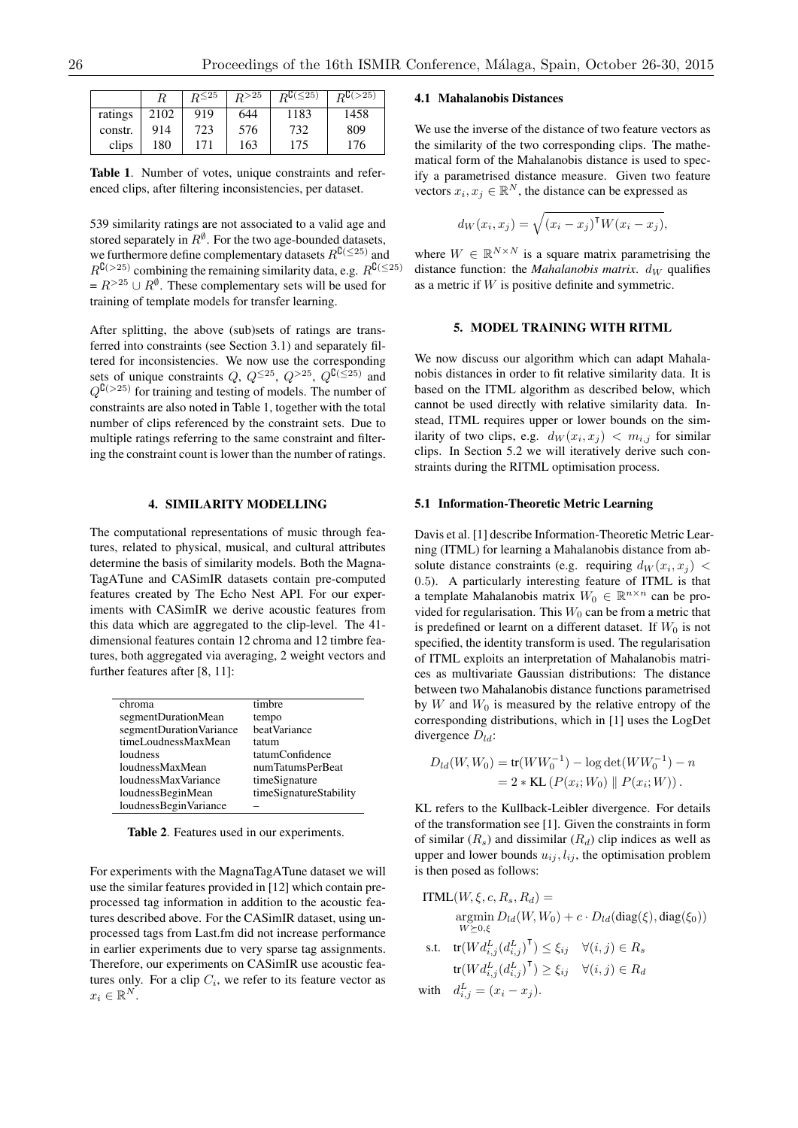|         |      | $R^{\leq 25}$ | R > 25 | $R^{C(\leq 25)}$ | $R_{\rm B}(>25)$ |
|---------|------|---------------|--------|------------------|------------------|
| ratings | 2102 | 919           | 644    | 1183             | 1458             |
| constr. | 914  | 723           | 576    | 732              | 809              |
| clips   | 180  | 171           | 163    | 175              | 176              |

Table 1. Number of votes, unique constraints and referenced clips, after filtering inconsistencies, per dataset.

539 similarity ratings are not associated to a valid age and stored separately in  $R^{\emptyset}$ . For the two age-bounded datasets, we furthermore define complementary datasets  $R^{C(\leq25)}$  and  $R^{{\rm C}(>25)}$  combining the remaining similarity data, e.g.  $R^{{\rm C}(\leq25)}$  $= R^{>25} \cup R^{\emptyset}$ . These complementary sets will be used for training of template models for transfer learning.

After splitting, the above (sub)sets of ratings are transferred into constraints (see Section 3.1) and separately filtered for inconsistencies. We now use the corresponding sets of unique constraints *Q*,  $Q^{\leq 25}$ ,  $Q^{>25}$ ,  $Q^{\complement (\leq 25)}$  and  $Q^{(25)}$  for training and testing of models. The number of constraints are also noted in Table 1, together with the total number of clips referenced by the constraint sets. Due to multiple ratings referring to the same constraint and filtering the constraint count is lower than the number of ratings.

# 4. SIMILARITY MODELLING

The computational representations of music through features, related to physical, musical, and cultural attributes determine the basis of similarity models. Both the Magna-TagATune and CASimIR datasets contain pre-computed features created by The Echo Nest API. For our experiments with CASimIR we derive acoustic features from this data which are aggregated to the clip-level. The 41 dimensional features contain 12 chroma and 12 timbre features, both aggregated via averaging, 2 weight vectors and further features after [8, 11]:

| chroma                  | timbre                 |
|-------------------------|------------------------|
| segmentDurationMean     | tempo                  |
| segmentDurationVariance | beatVariance           |
| timeLoudnessMaxMean     | tatum                  |
| loudness                | tatumConfidence        |
| loudnessMaxMean         | numTatumsPerBeat       |
| loudnessMaxVariance     | timeSignature          |
| loudnessBeginMean       | timeSignatureStability |
| loudnessBeginVariance   |                        |
|                         |                        |

Table 2. Features used in our experiments.

For experiments with the MagnaTagATune dataset we will use the similar features provided in [12] which contain preprocessed tag information in addition to the acoustic features described above. For the CASimIR dataset, using unprocessed tags from Last.fm did not increase performance in earlier experiments due to very sparse tag assignments. Therefore, our experiments on CASimIR use acoustic features only. For a clip  $C_i$ , we refer to its feature vector as  $x_i \in \mathbb{R}^N$ .

#### 4.1 Mahalanobis Distances

We use the inverse of the distance of two feature vectors as the similarity of the two corresponding clips. The mathematical form of the Mahalanobis distance is used to specify a parametrised distance measure. Given two feature vectors  $x_i, x_j \in \mathbb{R}^N$ , the distance can be expressed as

$$
d_W(x_i, x_j) = \sqrt{(x_i - x_j)^\mathsf{T} W(x_i - x_j)},
$$

where  $W \in \mathbb{R}^{N \times N}$  is a square matrix parametrising the distance function: the *Mahalanobis matrix*.  $d_W$  qualifies as a metric if *W* is positive definite and symmetric.

## 5. MODEL TRAINING WITH RITML

We now discuss our algorithm which can adapt Mahalanobis distances in order to fit relative similarity data. It is based on the ITML algorithm as described below, which cannot be used directly with relative similarity data. Instead, ITML requires upper or lower bounds on the similarity of two clips, e.g.  $d_W(x_i, x_j) < m_{i,j}$  for similar clips. In Section 5.2 we will iteratively derive such constraints during the RITML optimisation process.

### 5.1 Information-Theoretic Metric Learning

Davis et al. [1] describe Information-Theoretic Metric Learning (ITML) for learning a Mahalanobis distance from absolute distance constraints (e.g. requiring  $d_W(x_i, x_j)$ ) 0*.*5). A particularly interesting feature of ITML is that a template Mahalanobis matrix  $W_0 \in \mathbb{R}^{n \times n}$  can be provided for regularisation. This  $W_0$  can be from a metric that is predefined or learnt on a different dataset. If  $W_0$  is not specified, the identity transform is used. The regularisation of ITML exploits an interpretation of Mahalanobis matrices as multivariate Gaussian distributions: The distance between two Mahalanobis distance functions parametrised by  $W$  and  $W_0$  is measured by the relative entropy of the corresponding distributions, which in [1] uses the LogDet divergence *Dld*:

$$
D_{ld}(W, W_0) = \text{tr}(WW_0^{-1}) - \log \det(WW_0^{-1}) - n
$$
  
= 2 \* KL (P(x\_i; W\_0) || P(x\_i; W)).

KL refers to the Kullback-Leibler divergence. For details of the transformation see [1]. Given the constraints in form of similar  $(R_s)$  and dissimilar  $(R_d)$  clip indices as well as upper and lower bounds  $u_{ij}$ ,  $l_{ij}$ , the optimisation problem is then posed as follows:

$$
\text{ITML}(W, \xi, c, R_s, R_d) =
$$
\n
$$
\operatorname*{argmin}_{W \succeq 0, \xi} D_{ld}(W, W_0) + c \cdot D_{ld}(\text{diag}(\xi), \text{diag}(\xi_0))
$$
\n
$$
\text{s.t.} \quad \text{tr}(W d_{i,j}^L (d_{i,j}^L)^\mathsf{T}) \le \xi_{ij} \quad \forall (i, j) \in R_s
$$
\n
$$
\text{tr}(W d_{i,j}^L (d_{i,j}^L)^\mathsf{T}) \ge \xi_{ij} \quad \forall (i, j) \in R_d
$$

with 
$$
d_{i,j}^L = (x_i - x_j).
$$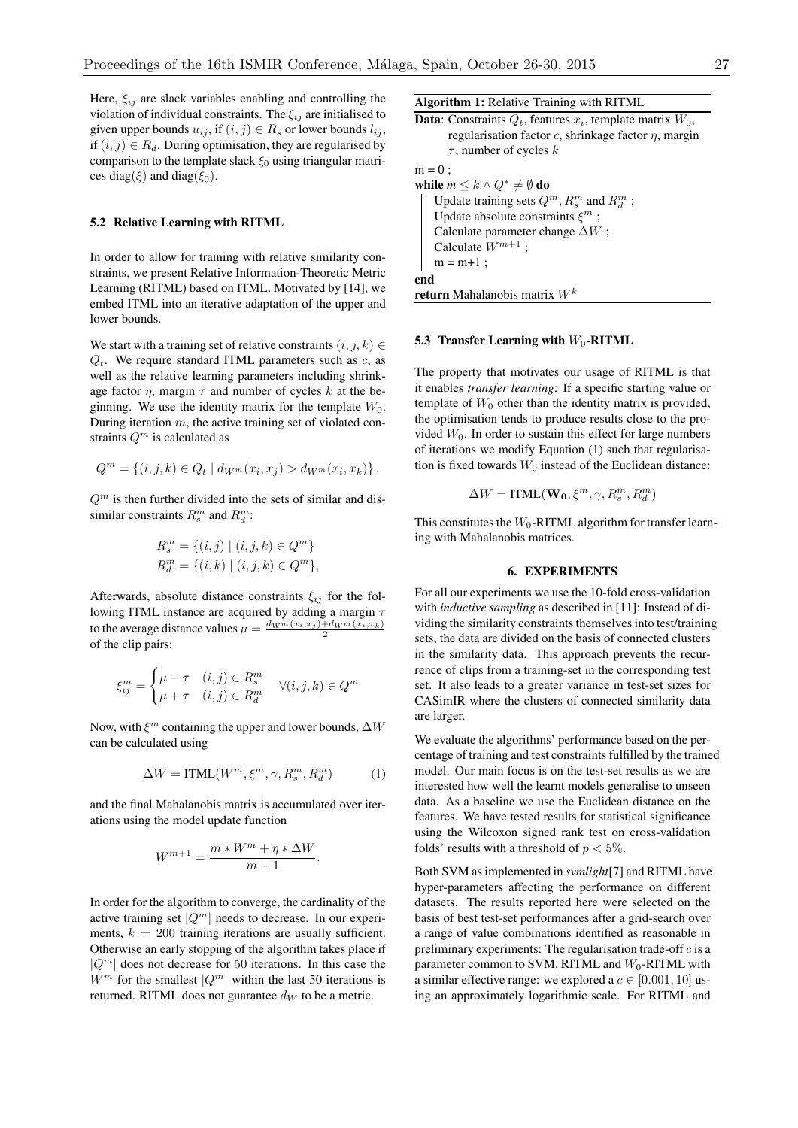Here,  $\xi_{ij}$  are slack variables enabling and controlling the violation of individual constraints. The  $\xi_{ij}$  are initialised to given upper bounds  $u_{ij}$ , if  $(i, j) \in R_s$  or lower bounds  $l_{ij}$ , if  $(i, j) \in R_d$ . During optimisation, they are regularised by comparison to the template slack  $\xi_0$  using triangular matrices diag( $\xi$ ) and diag( $\xi$ <sub>0</sub>).

## 5.2 Relative Learning with RITML

In order to allow for training with relative similarity constraints, we present Relative Information-Theoretic Metric Learning (RITML) based on ITML. Motivated by [14], we embed ITML into an iterative adaptation of the upper and lower bounds.

We start with a training set of relative constraints  $(i, j, k) \in$  $Q_t$ . We require standard ITML parameters such as *c*, as well as the relative learning parameters including shrinkage factor  $\eta$ , margin  $\tau$  and number of cycles k at the beginning. We use the identity matrix for the template  $W_0$ . During iteration *m*, the active training set of violated constraints *Q<sup>m</sup>* is calculated as

$$
Q^{m} = \{(i, j, k) \in Q_t \mid d_{W^m}(x_i, x_j) > d_{W^m}(x_i, x_k)\}.
$$

 $Q<sup>m</sup>$  is then further divided into the sets of similar and dissimilar constraints  $R_s^m$  and  $R_d^m$ :

$$
R_s^m = \{(i, j) \mid (i, j, k) \in Q^m\}
$$
  

$$
R_d^m = \{(i, k) \mid (i, j, k) \in Q^m\},
$$

Afterwards, absolute distance constraints  $\xi_{ij}$  for the following ITML instance are acquired by adding a margin  $\tau$ to the average distance values  $\mu = \frac{d_{W^m}(x_i, x_j) + d_{W^m}(x_i, x_k)}{2}$ of the clip pairs:

$$
\xi_{ij}^m = \begin{cases} \mu - \tau & (i,j) \in R_s^m \\ \mu + \tau & (i,j) \in R_d^m \end{cases} \quad \forall (i,j,k) \in Q^m
$$

Now, with  $\xi^m$  containing the upper and lower bounds,  $\Delta W$ can be calculated using

$$
\Delta W = \text{ITML}(W^m, \xi^m, \gamma, R_s^m, R_d^m) \tag{1}
$$

and the final Mahalanobis matrix is accumulated over iterations using the model update function

$$
W^{m+1} = \frac{m * W^m + \eta * \Delta W}{m+1}.
$$

In order for the algorithm to converge, the cardinality of the active training set  $|Q^m|$  needs to decrease. In our experiments,  $k = 200$  training iterations are usually sufficient. Otherwise an early stopping of the algorithm takes place if *<sup>|</sup>Q<sup>m</sup><sup>|</sup>* does not decrease for <sup>50</sup> iterations. In this case the  $W^m$  for the smallest  $|Q^m|$  within the last 50 iterations is returned. RITML does not guarantee  $d_W$  to be a metric.

Algorithm 1: Relative Training with RITML

**Data:** Constraints  $Q_t$ , features  $x_i$ , template matrix  $W_0$ ,

regularisation factor  $c$ , shrinkage factor  $\eta$ , margin  $\tau$ , number of cycles  $k$ 

```
m=0;
```
while  $m \leq k \wedge Q^* \neq \emptyset$  do Update training sets  $Q^m$ ,  $R_s^m$  and  $R_d^m$ ; Update absolute constraints  $\xi^m$ ; Calculate parameter change  $\Delta W$ ; Calculate  $W^{m+1}$ ;  $m = m + 1$ ; end return Mahalanobis matrix *W<sup>k</sup>*

#### 5.3 Transfer Learning with  $W_0$ -RITML

The property that motivates our usage of RITML is that it enables *transfer learning*: If a specific starting value or template of  $W_0$  other than the identity matrix is provided, the optimisation tends to produce results close to the provided  $W_0$ . In order to sustain this effect for large numbers of iterations we modify Equation (1) such that regularisation is fixed towards  $W_0$  instead of the Euclidean distance:

$$
\Delta W = \text{ITML}(\mathbf{W_0}, \xi^m, \gamma, R_s^m, R_d^m)
$$

This constitutes the *W*<sub>0</sub>-RITML algorithm for transfer learning with Mahalanobis matrices.

## 6. EXPERIMENTS

For all our experiments we use the 10-fold cross-validation with *inductive sampling* as described in [11]: Instead of dividing the similarity constraints themselves into test/training sets, the data are divided on the basis of connected clusters in the similarity data. This approach prevents the recurrence of clips from a training-set in the corresponding test set. It also leads to a greater variance in test-set sizes for CASimIR where the clusters of connected similarity data are larger.

We evaluate the algorithms' performance based on the percentage of training and test constraints fulfilled by the trained model. Our main focus is on the test-set results as we are interested how well the learnt models generalise to unseen data. As a baseline we use the Euclidean distance on the features. We have tested results for statistical significance using the Wilcoxon signed rank test on cross-validation folds' results with a threshold of *p <* 5%.

Both SVM as implemented in *svmlight*[7] and RITML have hyper-parameters affecting the performance on different datasets. The results reported here were selected on the basis of best test-set performances after a grid-search over a range of value combinations identified as reasonable in preliminary experiments: The regularisation trade-off *c* is a parameter common to SVM, RITML and  $W_0$ -RITML with a similar effective range: we explored a  $c \in [0.001, 10]$  using an approximately logarithmic scale. For RITML and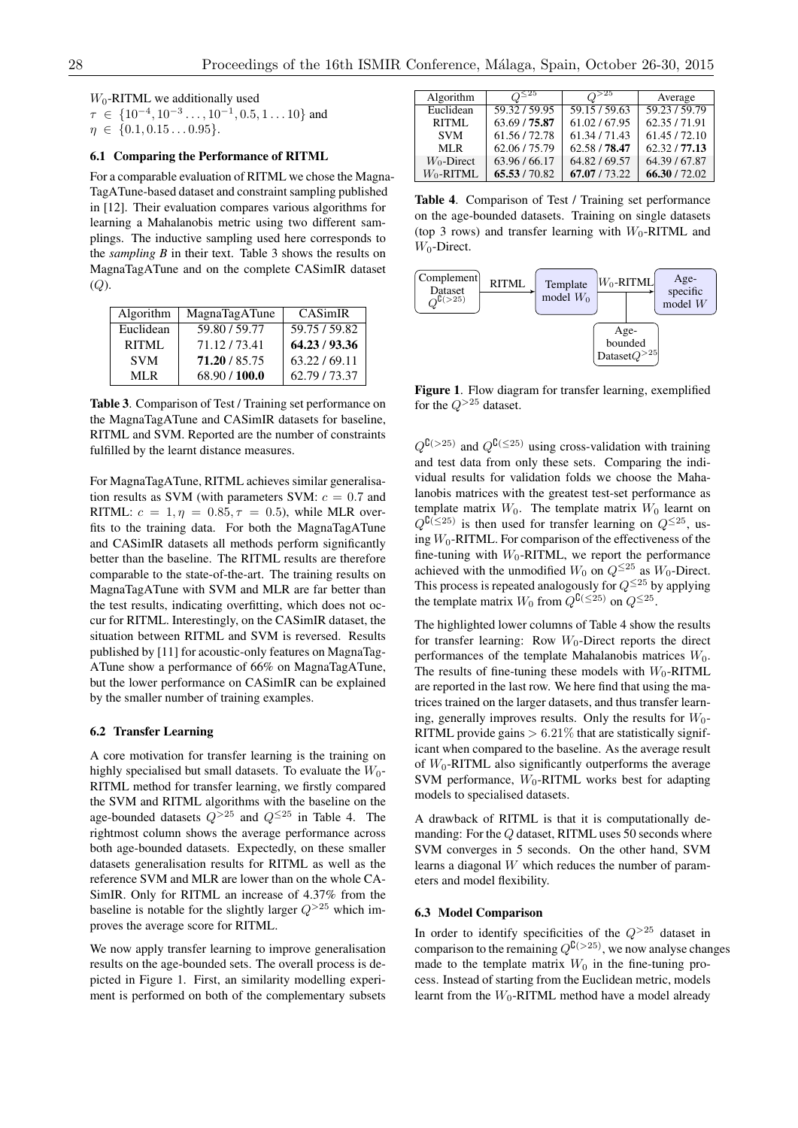*W*<sub>0</sub>-RITML we additionally used

 $\tau \in \{10^{-4}, 10^{-3} \dots, 10^{-1}, 0.5, 1 \dots 10\}$  and  $\eta \in \{0.1, 0.15 \dots 0.95\}.$ 

#### 6.1 Comparing the Performance of RITML

For a comparable evaluation of RITML we chose the Magna-TagATune-based dataset and constraint sampling published in [12]. Their evaluation compares various algorithms for learning a Mahalanobis metric using two different samplings. The inductive sampling used here corresponds to the *sampling B* in their text. Table 3 shows the results on MagnaTagATune and on the complete CASimIR dataset (*Q*).

| Algorithm  | MagnaTagATune | <b>CASimIR</b> |
|------------|---------------|----------------|
| Euclidean  | 59.80 / 59.77 | 59.75 / 59.82  |
| RITML      | 71.12.173.41  | 64.23/93.36    |
| <b>SVM</b> | 71.20 / 85.75 | 63.22/69.11    |
| MLR.       | 68.90 / 100.0 | 62.79 / 73.37  |

Table 3. Comparison of Test / Training set performance on the MagnaTagATune and CASimIR datasets for baseline, RITML and SVM. Reported are the number of constraints fulfilled by the learnt distance measures.

For MagnaTagATune, RITML achieves similar generalisation results as SVM (with parameters SVM:  $c = 0.7$  and RITML:  $c = 1, \eta = 0.85, \tau = 0.5$ , while MLR overfits to the training data. For both the MagnaTagATune and CASimIR datasets all methods perform significantly better than the baseline. The RITML results are therefore comparable to the state-of-the-art. The training results on MagnaTagATune with SVM and MLR are far better than the test results, indicating overfitting, which does not occur for RITML. Interestingly, on the CASimIR dataset, the situation between RITML and SVM is reversed. Results published by [11] for acoustic-only features on MagnaTag-ATune show a performance of 66% on MagnaTagATune, but the lower performance on CASimIR can be explained by the smaller number of training examples.

#### 6.2 Transfer Learning

A core motivation for transfer learning is the training on highly specialised but small datasets. To evaluate the  $W_0$ -RITML method for transfer learning, we firstly compared the SVM and RITML algorithms with the baseline on the age-bounded datasets  $Q^{>25}$  and  $Q^{\leq 25}$  in Table 4. The rightmost column shows the average performance across both age-bounded datasets. Expectedly, on these smaller datasets generalisation results for RITML as well as the reference SVM and MLR are lower than on the whole CA-SimIR. Only for RITML an increase of 4.37% from the baseline is notable for the slightly larger  $Q^{>25}$  which improves the average score for RITML.

We now apply transfer learning to improve generalisation results on the age-bounded sets. The overall process is depicted in Figure 1. First, an similarity modelling experiment is performed on both of the complementary subsets

| Algorithm     | $\Omega^{\leq 25}$ | $O^{>25}$     | Average       |
|---------------|--------------------|---------------|---------------|
| Euclidean     | 59.32/59.95        | 59.15/59.63   | 59.23/59.79   |
| RITML         | 63.69 / 75.87      | 61.02/67.95   | 62.35/71.91   |
| <b>SVM</b>    | 61.56/72.78        | 61.34/71.43   | 61.45/72.10   |
| MLR           | 62.06/75.79        | 62.58 / 78.47 | 62.32/77.13   |
| $W_0$ -Direct | 63.96/66.17        | 64.82/69.57   | 64.39 / 67.87 |
| $W_0$ -RITML  | 65.53/70.82        | 67.07/73.22   | 66.30/72.02   |

Table 4. Comparison of Test / Training set performance on the age-bounded datasets. Training on single datasets (top 3 rows) and transfer learning with  $W_0$ -RITML and *W*0-Direct.



Figure 1. Flow diagram for transfer learning, exemplified for the  $Q^{>25}$  dataset.

 $Q^{\mathsf{C}(>25)}$  and  $Q^{\mathsf{C}(\leq25)}$  using cross-validation with training and test data from only these sets. Comparing the individual results for validation folds we choose the Mahalanobis matrices with the greatest test-set performance as template matrix  $W_0$ . The template matrix  $W_0$  learnt on  $Q^{\complement(\leq 25)}$  is then used for transfer learning on  $Q^{\leq 25}$ , using *W*<sub>0</sub>-RITML. For comparison of the effectiveness of the fine-tuning with  $W_0$ -RITML, we report the performance achieved with the unmodified  $W_0$  on  $Q^{\leq 25}$  as  $W_0$ -Direct. This process is repeated analogously for  $Q^{\leq 25}$  by applying the template matrix  $W_0$  from  $Q^{C(\leq 25)}$  on  $Q^{\leq 25}$ .

The highlighted lower columns of Table 4 show the results for transfer learning: Row *W*<sub>0</sub>-Direct reports the direct performances of the template Mahalanobis matrices  $W_0$ . The results of fine-tuning these models with  $W_0$ -RITML are reported in the last row. We here find that using the matrices trained on the larger datasets, and thus transfer learning, generally improves results. Only the results for  $W_0$ -RITML provide gains *>* 6*.*21% that are statistically significant when compared to the baseline. As the average result of *W*0-RITML also significantly outperforms the average SVM performance,  $W_0$ -RITML works best for adapting models to specialised datasets.

A drawback of RITML is that it is computationally demanding: For the *Q* dataset, RITML uses 50 seconds where SVM converges in 5 seconds. On the other hand, SVM learns a diagonal *W* which reduces the number of parameters and model flexibility.

#### 6.3 Model Comparison

In order to identify specificities of the  $Q^{>25}$  dataset in comparison to the remaining  $Q^{C(>25)}$ , we now analyse changes made to the template matrix  $W_0$  in the fine-tuning process. Instead of starting from the Euclidean metric, models learnt from the  $W_0$ -RITML method have a model already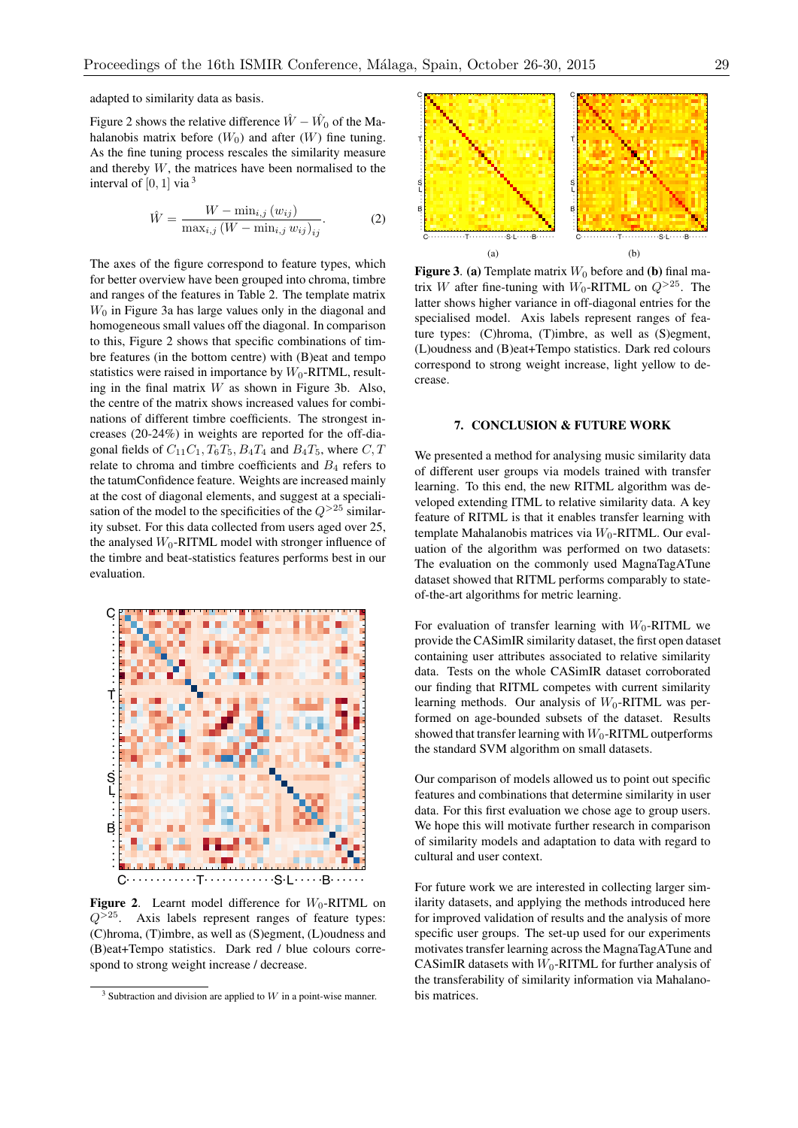adapted to similarity data as basis.

Figure 2 shows the relative difference  $\hat{W} - \hat{W}_0$  of the Mahalanobis matrix before  $(W_0)$  and after  $(W)$  fine tuning. As the fine tuning process rescales the similarity measure and thereby *W*, the matrices have been normalised to the interval of  $[0, 1]$  via  $3$ 

$$
\hat{W} = \frac{W - \min_{i,j} (w_{ij})}{\max_{i,j} (W - \min_{i,j} w_{ij})_{ij}}.
$$
\n(2)

The axes of the figure correspond to feature types, which for better overview have been grouped into chroma, timbre and ranges of the features in Table 2. The template matrix  $W_0$  in Figure 3a has large values only in the diagonal and homogeneous small values off the diagonal. In comparison to this, Figure 2 shows that specific combinations of timbre features (in the bottom centre) with (B)eat and tempo statistics were raised in importance by  $W_0$ -RITML, resulting in the final matrix *W* as shown in Figure 3b. Also, the centre of the matrix shows increased values for combinations of different timbre coefficients. The strongest increases (20-24%) in weights are reported for the off-diagonal fields of  $C_{11}C_1$ ,  $T_6T_5$ ,  $B_4T_4$  and  $B_4T_5$ , where  $C, T$ relate to chroma and timbre coefficients and  $B_4$  refers to the tatumConfidence feature. Weights are increased mainly at the cost of diagonal elements, and suggest at a specialisation of the model to the specificities of the  $Q^{>25}$  similarity subset. For this data collected from users aged over 25, the analysed  $W_0$ -RITML model with stronger influence of the timbre and beat-statistics features performs best in our evaluation.



**Figure 2.** Learnt model difference for  $W_0$ -RITML on  $Q^{>25}$ . Axis labels represent ranges of feature types: (C)hroma, (T)imbre, as well as (S)egment, (L)oudness and (B)eat+Tempo statistics. Dark red / blue colours correspond to strong weight increase / decrease.



C· · · · · · · · · · · ·T· · · · · · · · · · · ·S·L· · · · ·B· · · · · · C· · · · · · · · · · · · T · · · · · · · · · · · S· L · · · · · B· · · · · · (a) C· · · · · · · · · · · ·T· · · · · · · · · · · ·S·L· · · · ·B· · · · · · C· · · · · · · · · · · · T · · · · · · · · · · · S· L · · · · · B· · · · · · (b)

**Figure 3. (a)** Template matrix  $W_0$  before and (b) final matrix *W* after fine-tuning with  $W_0$ -RITML on  $Q^{>25}$ . The latter shows higher variance in off-diagonal entries for the specialised model. Axis labels represent ranges of feature types: (C)hroma, (T)imbre, as well as (S)egment, (L)oudness and (B)eat+Tempo statistics. Dark red colours correspond to strong weight increase, light yellow to decrease.

## 7. CONCLUSION & FUTURE WORK

We presented a method for analysing music similarity data of different user groups via models trained with transfer learning. To this end, the new RITML algorithm was developed extending ITML to relative similarity data. A key feature of RITML is that it enables transfer learning with template Mahalanobis matrices via *W*<sub>0</sub>-RITML. Our evaluation of the algorithm was performed on two datasets: The evaluation on the commonly used MagnaTagATune dataset showed that RITML performs comparably to stateof-the-art algorithms for metric learning.

For evaluation of transfer learning with  $W_0$ -RITML we provide the CASimIR similarity dataset, the first open dataset containing user attributes associated to relative similarity data. Tests on the whole CASimIR dataset corroborated our finding that RITML competes with current similarity learning methods. Our analysis of  $W_0$ -RITML was performed on age-bounded subsets of the dataset. Results showed that transfer learning with  $W_0$ -RITML outperforms the standard SVM algorithm on small datasets.

Our comparison of models allowed us to point out specific features and combinations that determine similarity in user data. For this first evaluation we chose age to group users. We hope this will motivate further research in comparison of similarity models and adaptation to data with regard to cultural and user context.

For future work we are interested in collecting larger similarity datasets, and applying the methods introduced here for improved validation of results and the analysis of more specific user groups. The set-up used for our experiments motivates transfer learning across the MagnaTagATune and CASimIR datasets with  $W_0$ -RITML for further analysis of the transferability of similarity information via Mahalanobis matrices.